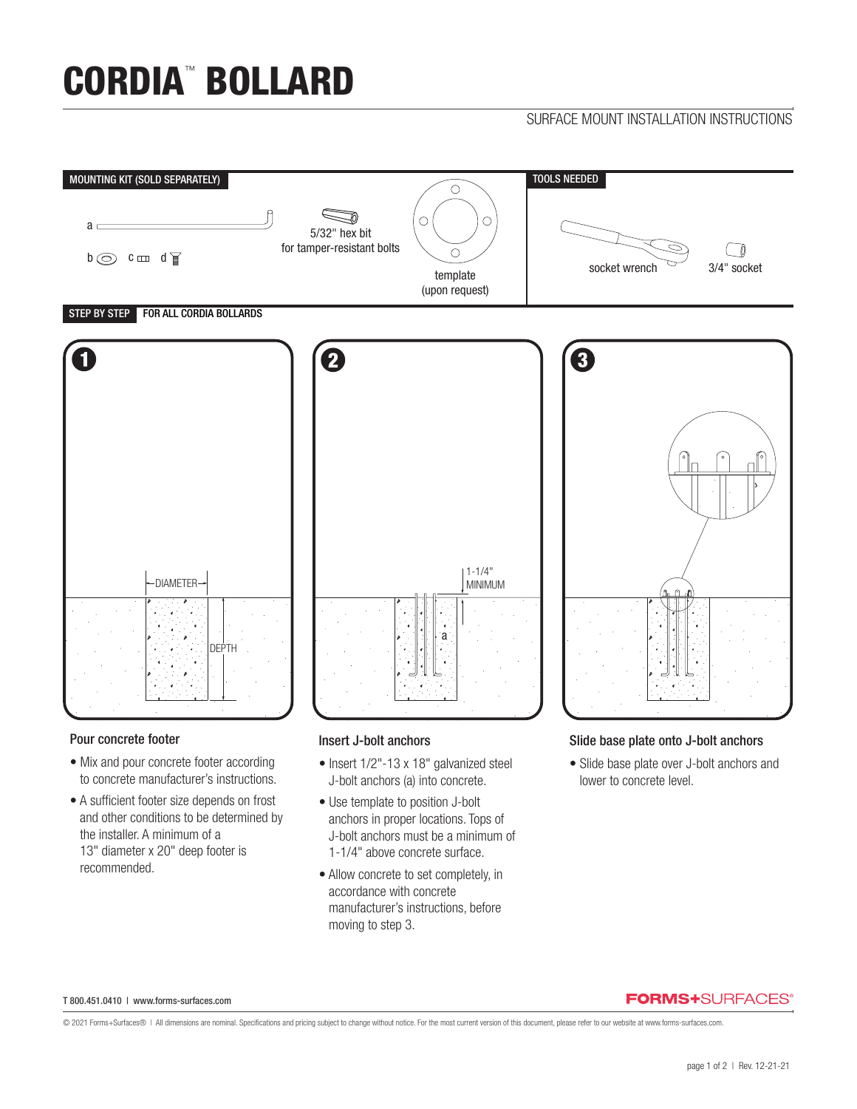# CORDIA™ BOLLARD

# SURFACE MOUNT INSTALLATION INSTRUCTIONS



## Pour concrete footer

- Mix and pour concrete footer according to concrete manufacturer's instructions.
- A sufficient footer size depends on frost and other conditions to be determined by the installer. A minimum of a 13" diameter x 20" deep footer is recommended.

# Insert J-bolt anchors

- Insert 1/2"-13 x 18" galvanized steel J-bolt anchors (a) into concrete.
- Use template to position J-bolt anchors in proper locations. Tops of J-bolt anchors must be a minimum of 1-1/4" above concrete surface.
- Allow concrete to set completely, in accordance with concrete manufacturer's instructions, before moving to step 3.

# Slide base plate onto J-bolt anchors

• Slide base plate over J-bolt anchors and lower to concrete level.

#### T 800.451.0410 | www.forms-surfaces.com

# **FORMS+**SURFACES®

© 2021 Forms+Surfaces® | All dimensions are nominal. Specifications and pricing subject to change without notice. For the most current version of this document, please refer to our website at www.forms-surfaces.com.